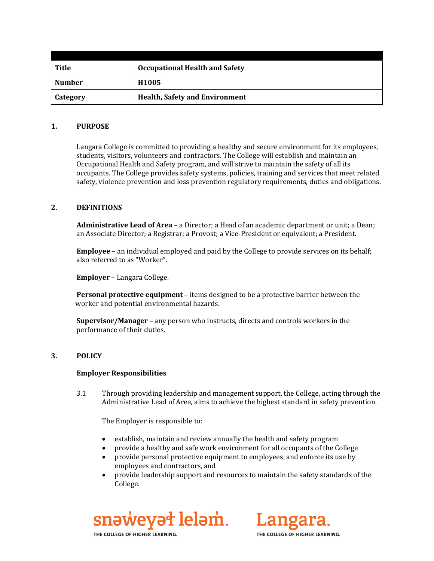| <b>Title</b>  | <b>Occupational Health and Safety</b> |  |
|---------------|---------------------------------------|--|
| <b>Number</b> | H <sub>1005</sub>                     |  |
| Category      | <b>Health, Safety and Environment</b> |  |

## **1. PURPOSE**

Langara College is committed to providing a healthy and secure environment for its employees, students, visitors, volunteers and contractors. The College will establish and maintain an Occupational Health and Safety program, and will strive to maintain the safety of all its occupants. The College provides safety systems, policies, training and services that meet related safety, violence prevention and loss prevention regulatory requirements, duties and obligations.

#### **2. DEFINITIONS**

**Administrative Lead of Area** – a Director; a Head of an academic department or unit; a Dean; an Associate Director; a Registrar; a Provost; a Vice-President or equivalent; a President.

**Employee** – an individual employed and paid by the College to provide services on its behalf; also referred to as "Worker".

**Employer** – Langara College.

**Personal protective equipment** – items designed to be a protective barrier between the worker and potential environmental hazards.

**Supervisor/Manager** – any person who instructs, directs and controls workers in the performance of their duties.

## **3. POLICY**

#### **Employer Responsibilities**

3.1 Through providing leadership and management support, the College, acting through the Administrative Lead of Area, aims to achieve the highest standard in safety prevention.

The Employer is responsible to:

- establish, maintain and review annually the health and safety program
- provide a healthy and safe work environment for all occupants of the College
- provide personal protective equipment to employees, and enforce its use by employees and contractors, and
- provide leadership support and resources to maintain the safety standards of the College.





THE COLLEGE OF HIGHER LEARNING.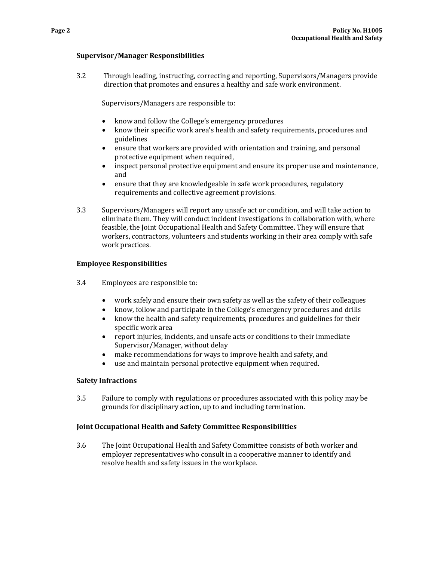#### **Supervisor/Manager Responsibilities**

3.2 Through leading, instructing, correcting and reporting, Supervisors/Managers provide direction that promotes and ensures a healthy and safe work environment.

Supervisors/Managers are responsible to:

- know and follow the College's emergency procedures<br>• know their specific work area's health and safety requ
- know their specific work area's health and safety requirements, procedures and guidelines
- ensure that workers are provided with orientation and training, and personal protective equipment when required,
- inspect personal protective equipment and ensure its proper use and maintenance, and
- ensure that they are knowledgeable in safe work procedures, regulatory requirements and collective agreement provisions.
- 3.3 Supervisors/Managers will report any unsafe act or condition, and will take action to eliminate them. They will conduct incident investigations in collaboration with, where feasible, the Joint Occupational Health and Safety Committee. They will ensure that workers, contractors, volunteers and students working in their area comply with safe work practices.

## **Employee Responsibilities**

- 3.4 Employees are responsible to:
	- work safely and ensure their own safety as well as the safety of their colleagues<br>• know follow and participate in the College's emergency procedures and drills
	- know, follow and participate in the College's emergency procedures and drills<br>• know the health and safety requirements, procedures and guidelines for their
	- know the health and safety requirements, procedures and guidelines for their specific work area
	- report injuries, incidents, and unsafe acts or conditions to their immediate Supervisor/Manager, without delay
	- make recommendations for ways to improve health and safety, and
	- use and maintain personal protective equipment when required.

#### **Safety Infractions**

3.5 Failure to comply with regulations or procedures associated with this policy may be grounds for disciplinary action, up to and including termination.

## **Joint Occupational Health and Safety Committee Responsibilities**

3.6 The Joint Occupational Health and Safety Committee consists of both worker and employer representatives who consult in a cooperative manner to identify and resolve health and safety issues in the workplace.